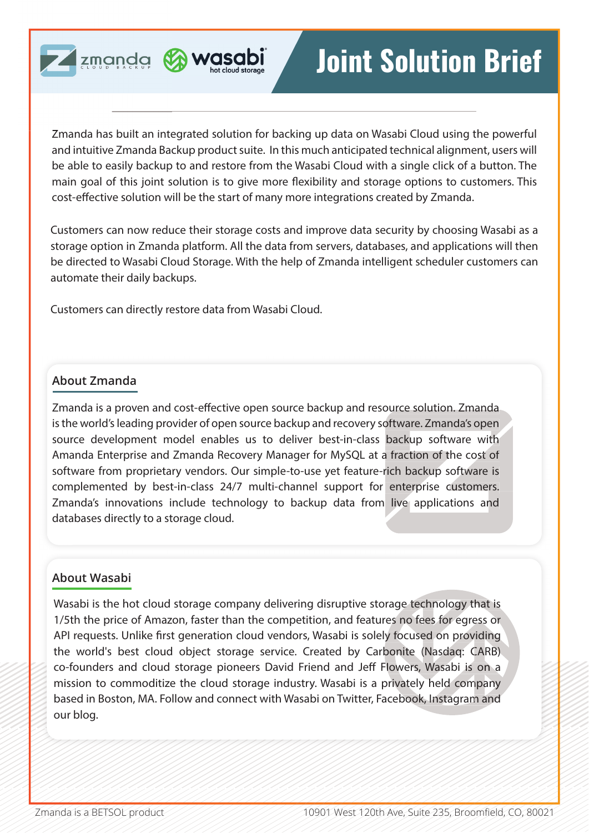



Zmanda has built an integrated solution for backing up data on Wasabi Cloud using the powerful and intuitive Zmanda Backup product suite. In this much anticipated technical alignment, users will be able to easily backup to and restore from the Wasabi Cloud with a single click of a button. The main goal of this joint solution is to give more flexibility and storage options to customers. This cost-effective solution will be the start of many more integrations created by Zmanda.

Customers can now reduce their storage costs and improve data security by choosing Wasabi as a storage option in Zmanda platform. All the data from servers, databases, and applications will then be directed to Wasabi Cloud Storage. With the help of Zmanda intelligent scheduler customers can automate their daily backups.

Customers can directly restore data from Wasabi Cloud.

# **About Zmanda**

Zmanda is a proven and cost-effective open source backup and resource solution. Zmanda is the world's leading provider of open source backup and recovery software. Zmanda's open source development model enables us to deliver best-in-class backup software with Amanda Enterprise and Zmanda Recovery Manager for MySQL at a fraction of the cost of software from proprietary vendors. Our simple-to-use yet feature-rich backup software is complemented by best-in-class 24/7 multi-channel support for enterprise customers. Zmanda's innovations include technology to backup data from live applications and databases directly to a storage cloud.

### **About Wasabi**

Wasabi is the hot cloud storage company delivering disruptive storage technology that is 1/5th the price of Amazon, faster than the competition, and features no fees for egress or API requests. Unlike first generation cloud vendors, Wasabi is solely focused on providing the world's best cloud object storage service. Created by Carbonite (Nasdaq: CARB) co-founders and cloud storage pioneers David Friend and Jeff Flowers, Wasabi is on a mission to commoditize the cloud storage industry. Wasabi is a privately held company based in Boston, MA. Follow and connect with Wasabi on Twitter, Facebook, Instagram and our blog.